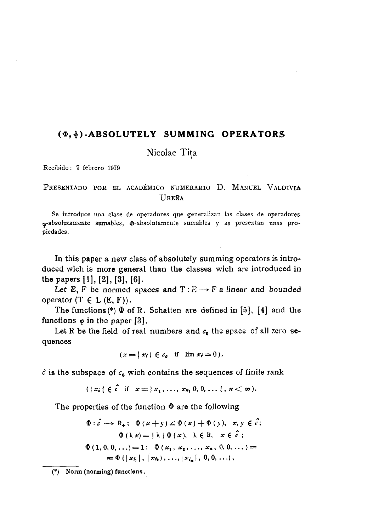## (0, 0)-ABSOLUTELY SUMMING OPERATORS

Nicolae Tita

Recibido: 7 febrero 1979

## PRESENTADO POR EL ACADÉMICO NUMERARIO D. MANUEL VALDIVIA UREÑA

Se introduce una clase de operadores que generalizan las clases de operadores o-absolutamente sumables,  $\Phi$ -absolutamente sumables y se presentan unas propiedades.

In this paper a new class of absolutely summing operators is introduced wich is more general than the classes wich are introduced in the papers [1], [2], [3], [6].

Let E, F be normed spaces and  $T: E \longrightarrow F$  a linear and bounded operator  $(T \in L(E, F))$ .

The functions  $(*)$   $\Phi$  of R. Schatten are defined in [5], [4] and the functions  $\varphi$  in the paper [3].

Let R be the field of real numbers and  $c_0$  the space of all zero sequences

$$
(x = \vert x_i \vert \in c_0 \quad \text{if} \quad \lim x_i = 0).
$$

 $\hat{c}$  is the subspace of  $c_0$  wich contains the sequences of finite rank

$$
(|x_i| \in \hat{c} \text{ if } x = |x_1, \ldots, x_{n_1} 0, 0, \ldots |, n < \infty).
$$

The properties of the function  $\Phi$  are the following

$$
\Phi: \hat{c} \longrightarrow R_{+}; \quad \Phi(x+y) \leq \Phi(x) + \Phi(y), \quad x, y \in \hat{c};
$$
  
\n
$$
\Phi(\lambda x) = {\lambda} \Phi(x), \quad \lambda \in R, \quad x \in \hat{c};
$$
  
\n
$$
\Phi(1, 0, 0, \ldots) = 1; \quad \Phi(x_1, x_1, \ldots, x_n, 0, 0, \ldots) =
$$
  
\n
$$
= \Phi(|x_{i_1}|, |x_{i_2}|, \ldots, |x_{i_n}|, 0, 0, \ldots),
$$

<sup>(\*)</sup> Norm (norming) functions.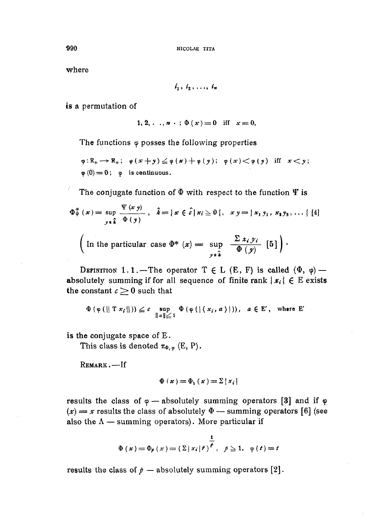where

$$
i_1, i_2, \ldots, i_n
$$

is a permutation of

1, 2, . ., 
$$
n \cdot
$$
;  $\Phi(x) = 0$  iff  $x = 0$ ,

The functions  $\varphi$  posses the following properties

 $\varphi: \mathbb{R}_+ \longrightarrow \mathbb{R}_+$ ;  $\varphi(x+y) \leq \varphi(x) + \varphi(y)$ ;  $\varphi(x) < \varphi(y)$  iff  $x < y$ ;  $\varphi(0) = 0$ ;  $\varphi$  is continuous.

The conjugate function of  $\Phi$  with respect to the function  $\Psi$  is

$$
\Phi_{\phi}^{*}(x) = \sup_{y \in \hat{k}} \frac{\Psi(x, y)}{\Phi(y)}, \quad \hat{k} = \{x \in \hat{c} \mid x_i \ge 0\}, \quad xy = \{x_1, y_1, x_2, y_2, \dots\} \quad [4]
$$
\n
$$
\left(\text{In the particular case } \Phi^*(x) = \sup_{y \in \hat{k}} \frac{\sum x_i y_i}{\Phi(y)} \quad [5]\right).
$$

DEFINITION 1.1. – The operator  $T \in L$  (E, F) is called  $(\Phi, \varphi)$  – absolutely summing if for all sequence of finite rank  $\{x_i\} \in E$  exists the constant  $c \geq 0$  such that

$$
\Phi(\varphi(\{T x_i\})) \leq c \sup_{\|a\| \leq 1} \Phi(\varphi(\{x_i, a\})\), \quad a \in E', \quad \text{where } E'
$$

is the conjugate space of E.

This class is denoted  $\pi_{\Phi, \varphi}$  (E, P).

REMARK.-If

$$
\Phi(x) = \Phi_{1}(x) = \Sigma |x_{i}|
$$

results the class of  $\varphi$  - absolutely summing operators [3] and if  $\varphi$  $(x) = x$  results the class of absolutely  $\Phi$  — summing operators [6] (see also the  $\Lambda$  — summing operators). More particular if

$$
\Phi(x) = \Phi_{\rho}(x) = (\Sigma |x_i|^{\rho})^{\frac{1}{\rho}}, \ \rho \geq 1, \ \varphi(t) = t
$$

results the class of  $p$  – absolutely summing operators [2].

990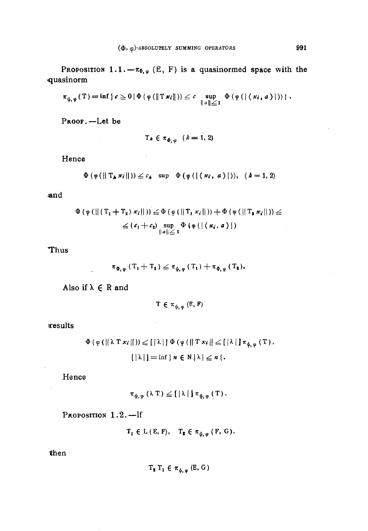PROPOSITION 1.1.  $-\pi_{\Phi,\varphi}$  (E, F) is a quasinormed space with the quasinorm

$$
\pi_{\psi,\,\varphi}\left(\,T\,\right)=\inf\,\left\{\,\varepsilon\geq0\,|\,\Phi\left(\,\phi\left(\,\left\|\,T\,\boldsymbol{\varkappa}_{i}\,\right\|\,\right)\right)\leq\varepsilon\,\sup_{\left\|\,\varepsilon\,\right\|\,\leq\,1}\,\Phi\left(\,\phi\left(\,\left\|\,\left\{\,\boldsymbol{\varkappa}_{i}\,,\,\boldsymbol{\varkappa}\,\right\}\,\right\|\,\right)\right)\,\right\}\right.\right.
$$

PROOF.-Let be

$$
T_k \in \pi_{\Phi,\varphi} \quad (k=1,2)
$$

 $\bar{\lambda}$ 

 $\mathbb{R}^2$ 

Hence

$$
\Phi(\varphi(\|T_k x_i\|)) \leq c_k \sup \Phi(\varphi(\|\langle x_i, a \rangle\|)), \quad (k = 1, 2)
$$

and

$$
\Phi(\varphi(\| (T_1 + T_2) x_i \|)) \leq \Phi(\varphi(\| T_1 x_i \|)) + \Phi(\varphi(\| T_2 x_i \|)) \leq
$$
  

$$
\leq (c_1 + c_2) \sup_{\|a\| \leq 1} \Phi(\varphi(\| (x_i, a)))
$$

Thus

$$
\pi_{\Phi,\,\varphi}\left(T_{1}+T_{2}\right)\leq\pi_{\psi,\,\varphi}\left(T_{1}\right)+\pi_{\Phi,\,\varphi}\left(T_{2}\right).
$$

Also if  $\lambda \in \mathbb{R}$  and

$$
T \in \pi_{\phi, \varphi} (E, F)
$$

 $\mathbf{r}$ 

results

$$
\Phi(\varphi(\|\lambda \mathsf{T} x_i\|)) \leq \| \lambda \| \Phi(\varphi(\|\mathsf{T} x_i\| \leq [\lambda]) \pi_{\varphi, \varphi}(\mathsf{T}),
$$
  

$$
[ \|\lambda\|] = \inf \{ n \in \mathsf{N} \, | \lambda| \leq n \}.
$$

Hence

$$
\pi_{\phi,\,\phi}\left(\,\lambda\;T\,\right)\,\leq\, \left[\,\left|\,\lambda\,\right|\,\right]\pi_{\phi,\,\phi}\left(\,T\,\right).
$$

PROPOSITION 1.2.-If

 $\mathbf{T_1} \in \mathcal{L} \left( \mathbf{E}, \mathbf{F} \right), \quad \mathbf{T_2} \in \pi_{\psi, \, \varphi} \left( \mathbf{F}, \, \mathbf{G} \right).$ 

then

$$
T_{\boldsymbol{a}} T_1 \in \pi_{\phi, \varphi} (E, G)
$$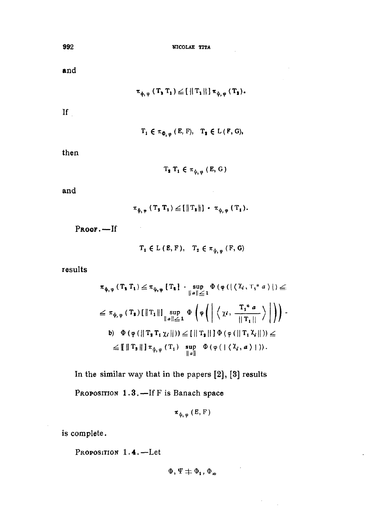NICOLAE TITA

and

$$
\pi_{\varphi,\,\phi}\left(\,T_{\,\mathbf{3}}\;T_{\,\mathbf{1}}\,\right)\leq\left[\,\left\|\,T_{\,\mathbf{1}}\,\right\|\,\right]\pi_{\,\varphi,\,\phi}\,\left(\,T_{\,\mathbf{3}}\,\right).
$$

 $\mathbf{H}$ 

 $T_1 \in \pi_{\Phi, \varphi} (E, F), \quad T_2 \in L (F, G),$ 

then

 $T_2$   $T_1 \in \pi_{\phi, \phi}$  (E, G)

and

$$
\pi_{\psi,\,\phi}\left(\,T_{\,\sharp}\;T_{\,\sharp}\,\right)\leq\left[\,\left\|\,T_{\,\sharp}\,\right\|\,\right]\,\cdot\,\pi_{\,\psi,\,\phi}\,\left(\,T_{\,\sharp}\,\right).
$$

Proof.-If

 $T_1 \in L(\mathbf{E}, \mathbf{F}), T_2 \in \pi_{\phi, \phi} (\mathbf{F}, \mathbf{G})$ 

results

$$
\pi_{\varphi,\phi} (T_{\mathbf{1}} T_{\mathbf{1}}) \leq \pi_{\varphi,\phi} [T_{\mathbf{1}}] \cdot \sup_{\|\mathbf{a}\| \leq 1} \Phi (\phi (|\langle \chi_i, T_i^* \mathbf{a} \rangle|) \leq 1)
$$
  
\n
$$
\leq \pi_{\varphi,\phi} (T_{\mathbf{1}}) [\|T_1\|] \sup_{\|\mathbf{a}\| \leq 1} \Phi \left(\phi \left(\left|\langle \chi_i, \frac{T_1^* \mathbf{a}}{\|T_1\|}\rangle\right|\right)\right).
$$
  
\nb)  $\Phi (\phi (\|T_{\mathbf{1}} T_1 \chi_i\|)) \leq [||T_{\mathbf{1}}||] \Phi (\phi (||T_1 \chi_i\|)) \leq 1$   
\n
$$
\leq [[||T_{\mathbf{2}}||] \pi_{\phi,\phi} (T_1) \sup_{\|\mathbf{a}\|} \Phi (\phi (||\langle \chi_i, \mathbf{a} \rangle ||)).
$$

In the similar way that in the papers [2], [3] results

PROPOSITION 1.3. - If F is Banach space

$$
\pi_{\phi,\,\varphi}\,(\,E,\,F\,)
$$

is complete.

PROPOSITION 1.4. -Let

 $\Phi, \Psi \neq \Phi_1, \Phi_{\infty}$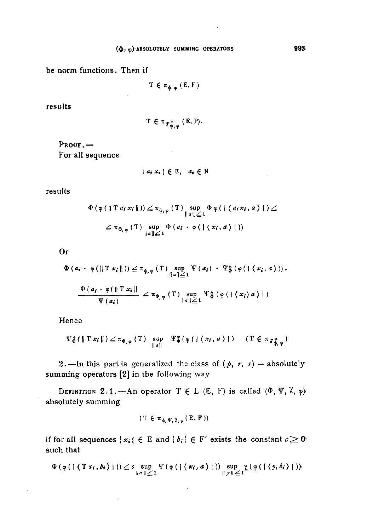be norm functions. Then if

 $\ddot{\phantom{a}}$ 

$$
T \in \pi_{\psi, \varphi} (\dot{E}, F)
$$

results

$$
T \in \pi_{\Psi_{\Phi,\varphi}^*}(E, P).
$$

 $\mathcal{L}^{\mathcal{L}}$ 

 $Proof. -$ For all sequence

$$
\{a_i x_i \in E, a_i \in N\}
$$

results

$$
\Phi(\varphi(\parallel T a_i x_i \parallel)) \leq \pi_{\psi, \varphi}(T) \sup_{\parallel a \parallel \leq 1} \Phi(\varphi(\parallel \langle a_i x_i, a \rangle)) \leq
$$
  

$$
\leq \pi_{\Phi, \varphi}(T) \sup_{\parallel a \parallel \leq 1} \Phi(a_i \cdot \varphi(\parallel \langle x_i, a \rangle \parallel))
$$

**Or** 

$$
\Phi (a_i \cdot \varphi (\| T x_i \|)) \leq \pi_{\psi, \varphi} (T) \sup_{\|a\| \leq 1} \Psi (a_i) \cdot \Psi_{\Phi}^* (\varphi (\|\langle x_i, a \rangle)),
$$
  

$$
\frac{\Phi (a_i \cdot \varphi (\| T x_i \|)}{\Psi (a_i)} \leq \pi_{\Phi, \varphi} (T) \sup_{\|a\| \leq 1} \Psi_{\Phi}^* (\varphi (\|\langle x_i \rangle a \rangle \|)
$$

Hence

$$
\Psi_{\Phi}^*(\|T x_i\|) \leq \pi_{\Phi, \varphi}(T) \sup_{\|a\|} \Psi_{\Phi}^*(\varphi(\|\langle x_i, a \rangle\|) \quad (T \in \pi_{\Psi_{\Phi, \varphi}^*})
$$

2. --In this part is generalized the class of  $(p, r, s)$  - absolutely summing operators [2] in the following way

DEFINITION 2.1. - An operator  $T \in L$  (E, F) is called  $(\Phi, \Psi, \lambda, \varphi)$ absolutely summing

$$
(T \in \pi_{\phi, \Psi, \chi, \varphi}(E, F))
$$

if for all sequences  $\{x_i\} \in E$  and  $\{b_i\} \in F'$  exists the constant  $c \ge 0$ such that

$$
\Phi(\varphi(\mid (\text{T} x_i, b_i \mid))) \leq c \sup_{\parallel a \parallel \leq 1} \Psi(\varphi(\mid (\textbf{x}_i, a \mid))) \sup_{\parallel y \parallel \leq 1} \chi(\varphi(\mid (\textbf{y}, b_i \mid)))
$$

 $\overline{\phantom{a}}$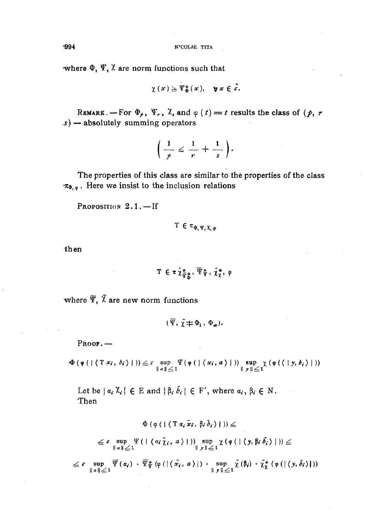where  $\Phi$ ,  $\Psi$ ,  $\lambda$  are norm functions such that

$$
\chi(x) \geq \Psi_{\Phi}^{*}(x), \quad \forall x \in \hat{c}.
$$

REMARK. - For  $\Phi_{\rho}$ ,  $\Psi_{r}$ ,  $\lambda_{s}$  and  $\varphi(t) = t$  results the class of  $(\rho, r)$  $s$ ) — absolutely summing operators

$$
\left(\frac{1}{p}\leq \frac{1}{r}+\frac{1}{s}\right).
$$

The properties of this class are similar to the properties of the class  $\pi_{\Phi, \varphi}$ . Here we insist to the inclusion relations

PROPOSITION 2.1.-If

$$
\texttt{T}\,\in\,\pi_{\Phi,\,\Psi,\,\texttt{X},\,\phi}
$$

then

$$
T \in \pi \, \tilde{\chi}^*_{\tilde{\Psi}^*_{\tilde{\Phi}}} \, , \, \overline{\Psi}^*_{\tilde{\Psi}} \, , \, \tilde{\chi}^*_{\chi}, \, \varphi
$$

where  $\overline{\Psi}$ ,  $\overline{\chi}$  are new norm functions

 $(\overline{\Psi}, \overline{\gamma} \neq \Phi_1, \Phi_m).$ 

 $Proof. -$ 

 $\Phi(\varphi(\mid \langle T x_i, \delta_i \rangle \mid)) \leq c \sup_{\|a\| \leq 1} \Psi(\varphi(\mid \langle x_i, a \rangle \mid)) \sup_{\|y\| \leq 1} \chi(\varphi(\langle \mid y, \delta_i \rangle \mid))$ 

Let be  $\{ \alpha_i \chi_i \} \in E$  and  $\{ \beta_i \bar{b}_i \} \in F'$ , where  $\alpha_i, \beta_i \in N$ . Then

$$
\Phi\left(\varphi\left(\left(\left(\mathcal{T}a_i\tilde{x}_i,\beta_i\tilde{b}_i\right)\right)\right)\right)\leq
$$

$$
\leq c \sup_{\parallel a\parallel\parallel\angle 1} \Psi\left(\parallel(\alpha_i\bar{\gamma}_i, a)\parallel\right) \sup_{\parallel y\parallel\angle 1} \chi\left(\varphi\left(\parallel(y, \beta_i\bar{\delta}_i)\parallel\right)\right) \leq
$$

 $\leq c \sup_{\|\alpha\|\leq 1}\overline{\Psi}(\alpha_i)\cdot \overline{\Psi}^*_{\Psi}(\varphi(\|\langle x_i, a \rangle|)\cdot \sup_{\|\ y\|\leq 1}\overline{\chi}(\beta_i)\cdot \overline{\chi}^*_{\chi}(\varphi(\|\langle y, \overline{\delta}_i \rangle|))$ 

-994